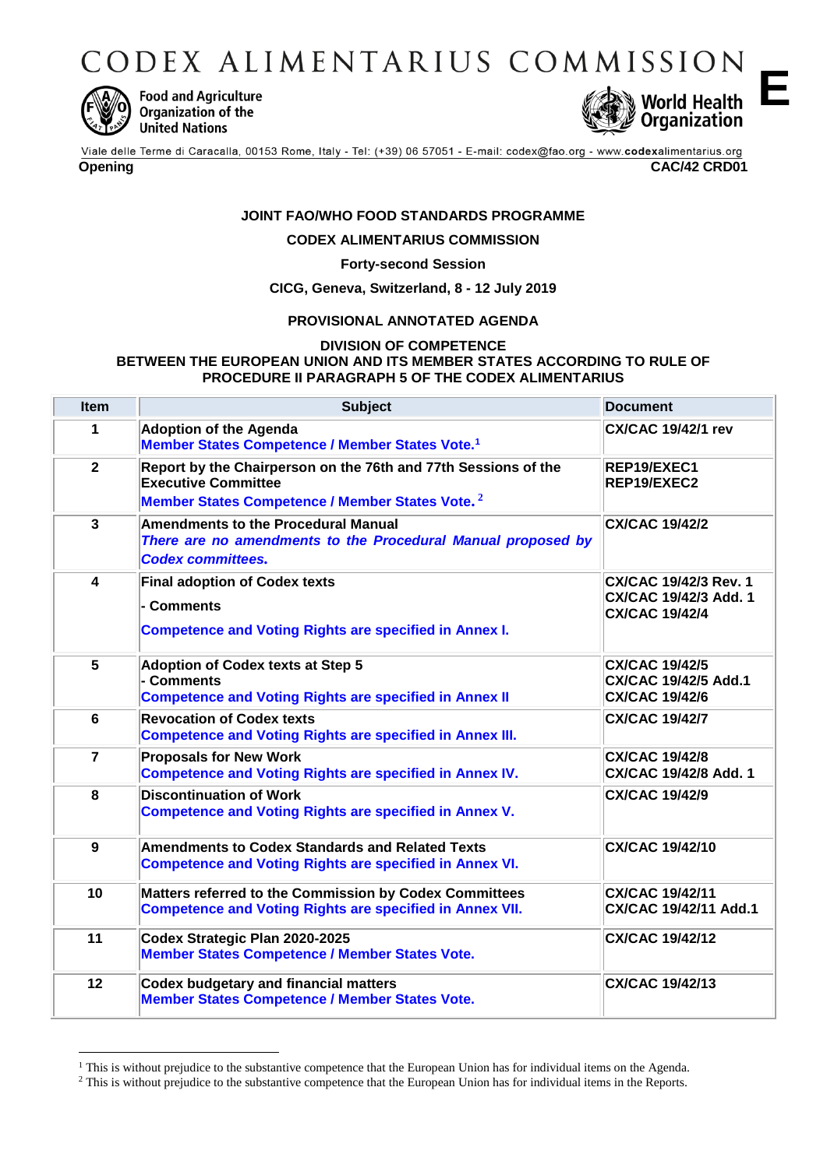CODEX ALIMENTARIUS COMMISSION



<u>.</u>

**Food and Agriculture** Organization of the **United Nations** 



**E**

Viale delle Terme di Caracalla, 00153 Rome, Italy - Tel: (+39) 06 57051 - E-mail: codex@fao.org - www.codexalimentarius.org **Opening CAC/42 CRD01**

### **JOINT FAO/WHO FOOD STANDARDS PROGRAMME**

### **CODEX ALIMENTARIUS COMMISSION**

### **Forty-second Session**

### **CICG, Geneva, Switzerland, 8 - 12 July 2019**

### **PROVISIONAL ANNOTATED AGENDA**

### **DIVISION OF COMPETENCE BETWEEN THE EUROPEAN UNION AND ITS MEMBER STATES ACCORDING TO RULE OF PROCEDURE II PARAGRAPH 5 OF THE CODEX ALIMENTARIUS**

| <b>Item</b>    | <b>Subject</b>                                                                                                                                              | <b>Document</b>                                                                |
|----------------|-------------------------------------------------------------------------------------------------------------------------------------------------------------|--------------------------------------------------------------------------------|
| 1              | <b>Adoption of the Agenda</b><br>Member States Competence / Member States Vote. <sup>1</sup>                                                                | <b>CX/CAC 19/42/1 rev</b>                                                      |
| $\overline{2}$ | Report by the Chairperson on the 76th and 77th Sessions of the<br><b>Executive Committee</b><br>Member States Competence / Member States Vote. <sup>2</sup> | REP19/EXEC1<br>REP19/EXEC2                                                     |
| $\overline{3}$ | <b>Amendments to the Procedural Manual</b><br>There are no amendments to the Procedural Manual proposed by<br><b>Codex committees.</b>                      | <b>CX/CAC 19/42/2</b>                                                          |
| 4              | <b>Final adoption of Codex texts</b><br>- Comments<br><b>Competence and Voting Rights are specified in Annex I.</b>                                         | <b>CX/CAC 19/42/3 Rev. 1</b><br>CX/CAC 19/42/3 Add. 1<br><b>CX/CAC 19/42/4</b> |
| 5              | <b>Adoption of Codex texts at Step 5</b><br>- Comments<br><b>Competence and Voting Rights are specified in Annex II</b>                                     | <b>CX/CAC 19/42/5</b><br><b>CX/CAC 19/42/5 Add.1</b><br><b>CX/CAC 19/42/6</b>  |
| 6              | <b>Revocation of Codex texts</b><br><b>Competence and Voting Rights are specified in Annex III.</b>                                                         | <b>CX/CAC 19/42/7</b>                                                          |
| $\overline{7}$ | <b>Proposals for New Work</b><br>Competence and Voting Rights are specified in Annex IV.                                                                    | <b>CX/CAC 19/42/8</b><br><b>CX/CAC 19/42/8 Add. 1</b>                          |
| 8              | <b>Discontinuation of Work</b><br><b>Competence and Voting Rights are specified in Annex V.</b>                                                             | <b>CX/CAC 19/42/9</b>                                                          |
| 9              | <b>Amendments to Codex Standards and Related Texts</b><br><b>Competence and Voting Rights are specified in Annex VI.</b>                                    | <b>CX/CAC 19/42/10</b>                                                         |
| 10             | Matters referred to the Commission by Codex Committees<br><b>Competence and Voting Rights are specified in Annex VII.</b>                                   | <b>CX/CAC 19/42/11</b><br><b>CX/CAC 19/42/11 Add.1</b>                         |
| 11             | Codex Strategic Plan 2020-2025<br><b>Member States Competence / Member States Vote.</b>                                                                     | <b>CX/CAC 19/42/12</b>                                                         |
| 12             | <b>Codex budgetary and financial matters</b><br><b>Member States Competence / Member States Vote.</b>                                                       | <b>CX/CAC 19/42/13</b>                                                         |

<sup>&</sup>lt;sup>1</sup> This is without prejudice to the substantive competence that the European Union has for individual items on the Agenda.

<sup>&</sup>lt;sup>2</sup> This is without prejudice to the substantive competence that the European Union has for individual items in the Reports.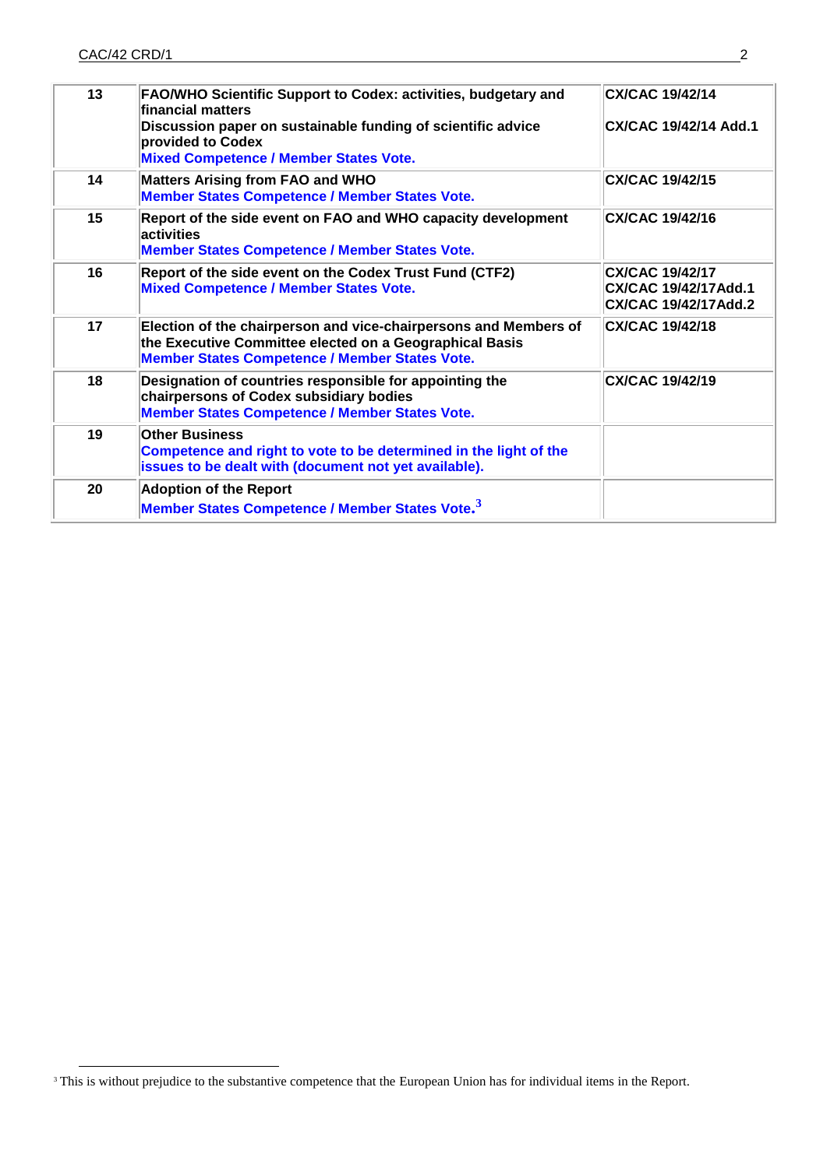<u>.</u>

| 13 | FAO/WHO Scientific Support to Codex: activities, budgetary and<br>financial matters<br>Discussion paper on sustainable funding of scientific advice                                  | CX/CAC 19/42/14<br>CX/CAC 19/42/14 Add.1                               |
|----|--------------------------------------------------------------------------------------------------------------------------------------------------------------------------------------|------------------------------------------------------------------------|
|    | provided to Codex<br><b>Mixed Competence / Member States Vote.</b>                                                                                                                   |                                                                        |
| 14 | <b>Matters Arising from FAO and WHO</b><br><b>Member States Competence / Member States Vote.</b>                                                                                     | <b>CX/CAC 19/42/15</b>                                                 |
| 15 | Report of the side event on FAO and WHO capacity development<br>activities<br><b>Member States Competence / Member States Vote.</b>                                                  | <b>CX/CAC 19/42/16</b>                                                 |
| 16 | Report of the side event on the Codex Trust Fund (CTF2)<br><b>Mixed Competence / Member States Vote.</b>                                                                             | CX/CAC 19/42/17<br>CX/CAC 19/42/17Add.1<br><b>CX/CAC 19/42/17Add.2</b> |
| 17 | Election of the chairperson and vice-chairpersons and Members of<br>the Executive Committee elected on a Geographical Basis<br><b>Member States Competence / Member States Vote.</b> | <b>CX/CAC 19/42/18</b>                                                 |
| 18 | Designation of countries responsible for appointing the<br>chairpersons of Codex subsidiary bodies<br><b>Member States Competence / Member States Vote.</b>                          | <b>CX/CAC 19/42/19</b>                                                 |
| 19 | <b>Other Business</b><br>Competence and right to vote to be determined in the light of the<br>issues to be dealt with (document not yet available).                                  |                                                                        |
| 20 | <b>Adoption of the Report</b>                                                                                                                                                        |                                                                        |
|    | Member States Competence / Member States Vote. <sup>3</sup>                                                                                                                          |                                                                        |

<sup>&</sup>lt;sup>3</sup> This is without prejudice to the substantive competence that the European Union has for individual items in the Report.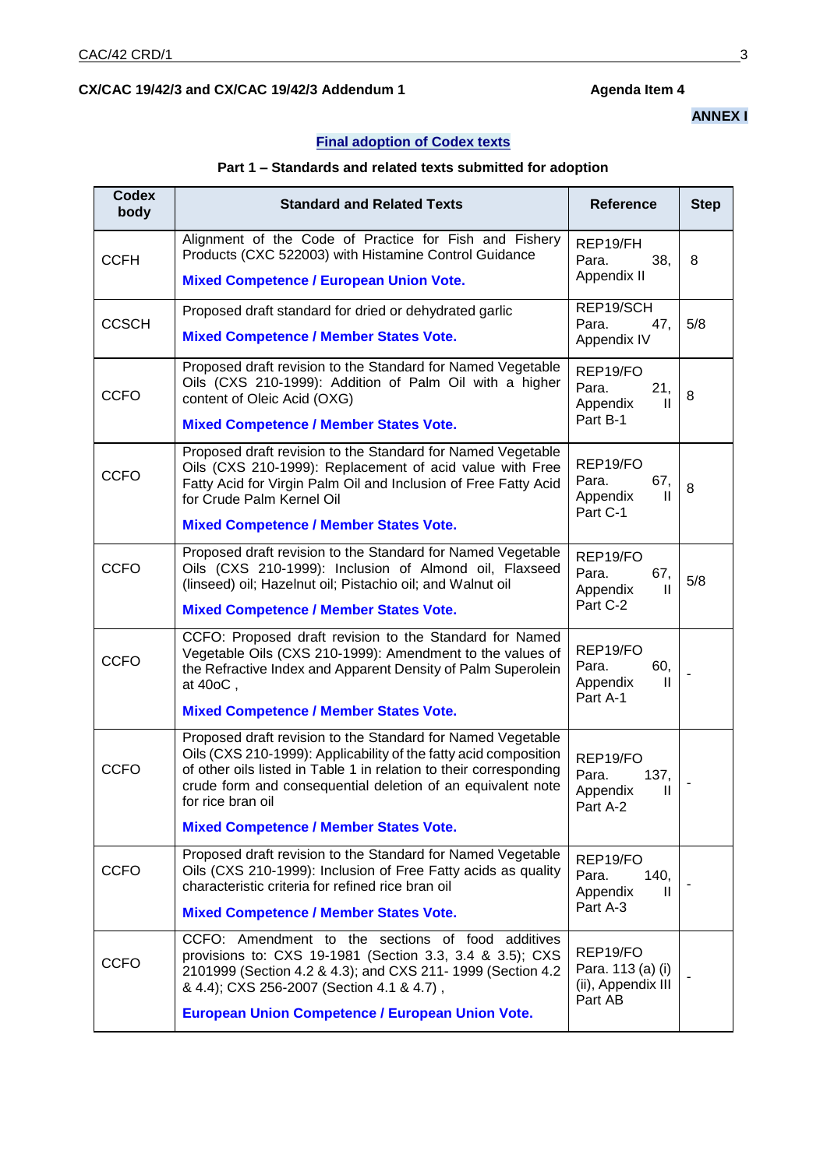### **Final adoption of Codex texts**

### **Part 1 – Standards and related texts submitted for adoption**

| Codex<br>body | <b>Standard and Related Texts</b>                                                                                                                                                                                                                                                                                                          | <b>Reference</b>                                               | <b>Step</b> |
|---------------|--------------------------------------------------------------------------------------------------------------------------------------------------------------------------------------------------------------------------------------------------------------------------------------------------------------------------------------------|----------------------------------------------------------------|-------------|
| <b>CCFH</b>   | Alignment of the Code of Practice for Fish and Fishery<br>Products (CXC 522003) with Histamine Control Guidance<br><b>Mixed Competence / European Union Vote.</b>                                                                                                                                                                          | REP19/FH<br>38,<br>Para.<br>Appendix II                        | 8           |
| <b>CCSCH</b>  | Proposed draft standard for dried or dehydrated garlic<br><b>Mixed Competence / Member States Vote.</b>                                                                                                                                                                                                                                    | REP19/SCH<br>Para.<br>47,<br>Appendix IV                       | 5/8         |
| <b>CCFO</b>   | Proposed draft revision to the Standard for Named Vegetable<br>Oils (CXS 210-1999): Addition of Palm Oil with a higher<br>content of Oleic Acid (OXG)<br><b>Mixed Competence / Member States Vote.</b>                                                                                                                                     | REP19/FO<br>Para.<br>21,<br>Appendix<br>Ш<br>Part B-1          | 8           |
| <b>CCFO</b>   | Proposed draft revision to the Standard for Named Vegetable<br>Oils (CXS 210-1999): Replacement of acid value with Free<br>Fatty Acid for Virgin Palm Oil and Inclusion of Free Fatty Acid<br>for Crude Palm Kernel Oil<br><b>Mixed Competence / Member States Vote.</b>                                                                   | REP19/FO<br>Para.<br>67,<br>Appendix<br>Ш<br>Part C-1          | 8           |
| <b>CCFO</b>   | Proposed draft revision to the Standard for Named Vegetable<br>Oils (CXS 210-1999): Inclusion of Almond oil, Flaxseed<br>(linseed) oil; Hazelnut oil; Pistachio oil; and Walnut oil<br><b>Mixed Competence / Member States Vote.</b>                                                                                                       | REP19/FO<br>Para.<br>67,<br>Appendix<br>H.<br>Part C-2         | 5/8         |
| <b>CCFO</b>   | CCFO: Proposed draft revision to the Standard for Named<br>Vegetable Oils (CXS 210-1999): Amendment to the values of<br>the Refractive Index and Apparent Density of Palm Superolein<br>at 40oC,<br><b>Mixed Competence / Member States Vote.</b>                                                                                          | REP19/FO<br>60,<br>Para.<br>Appendix<br>Ш<br>Part A-1          |             |
| <b>CCFO</b>   | Proposed draft revision to the Standard for Named Vegetable<br>Oils (CXS 210-1999): Applicability of the fatty acid composition<br>of other oils listed in Table 1 in relation to their corresponding<br>crude form and consequential deletion of an equivalent note<br>for rice bran oil<br><b>Mixed Competence / Member States Vote.</b> | REP19/FO<br>Para.<br>137,<br>Appendix<br>H.<br>Part A-2        |             |
| <b>CCFO</b>   | Proposed draft revision to the Standard for Named Vegetable<br>Oils (CXS 210-1999): Inclusion of Free Fatty acids as quality<br>characteristic criteria for refined rice bran oil<br><b>Mixed Competence / Member States Vote.</b>                                                                                                         | REP19/FO<br>140,<br>Para.<br>Appendix<br>Ш<br>Part A-3         |             |
| <b>CCFO</b>   | CCFO: Amendment to the sections of food additives<br>provisions to: CXS 19-1981 (Section 3.3, 3.4 & 3.5); CXS<br>2101999 (Section 4.2 & 4.3); and CXS 211- 1999 (Section 4.2<br>& 4.4); CXS 256-2007 (Section 4.1 & 4.7),<br><b>European Union Competence / European Union Vote.</b>                                                       | REP19/FO<br>Para. 113 (a) (i)<br>(ii), Appendix III<br>Part AB |             |

# **ANNEX I**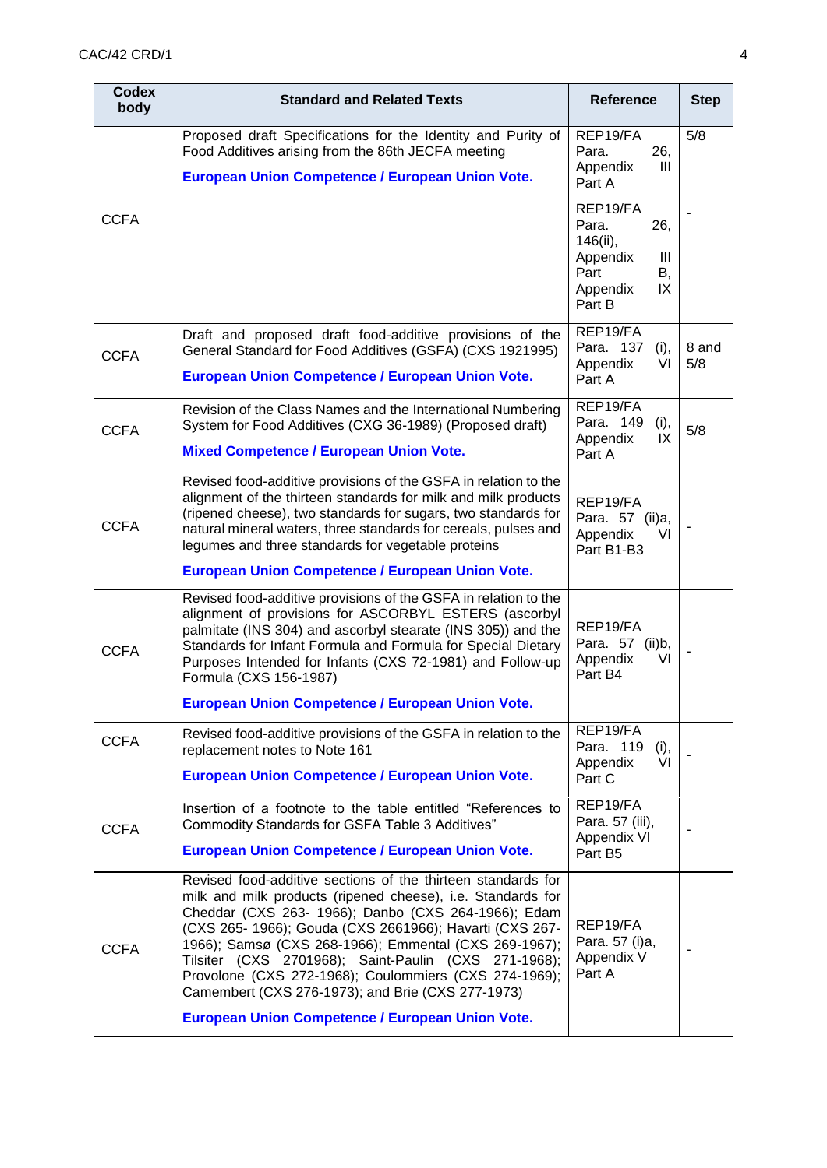| <b>Codex</b><br>body | <b>Standard and Related Texts</b>                                                                                                                                                                                                                                                                                                                                                                                                                                                                                                | <b>Reference</b>                                                                                | <b>Step</b>  |
|----------------------|----------------------------------------------------------------------------------------------------------------------------------------------------------------------------------------------------------------------------------------------------------------------------------------------------------------------------------------------------------------------------------------------------------------------------------------------------------------------------------------------------------------------------------|-------------------------------------------------------------------------------------------------|--------------|
|                      | Proposed draft Specifications for the Identity and Purity of<br>Food Additives arising from the 86th JECFA meeting<br><b>European Union Competence / European Union Vote.</b>                                                                                                                                                                                                                                                                                                                                                    | REP19/FA<br>Para.<br>26,<br>Ш<br>Appendix<br>Part A                                             | 5/8          |
| <b>CCFA</b>          |                                                                                                                                                                                                                                                                                                                                                                                                                                                                                                                                  | REP19/FA<br>26,<br>Para.<br>146(ii),<br>Appendix<br>Ш<br>Part<br>В,<br>IX<br>Appendix<br>Part B |              |
| <b>CCFA</b>          | Draft and proposed draft food-additive provisions of the<br>General Standard for Food Additives (GSFA) (CXS 1921995)<br><b>European Union Competence / European Union Vote.</b>                                                                                                                                                                                                                                                                                                                                                  | REP19/FA<br>Para. 137<br>(i),<br>Appendix<br>VI<br>Part A                                       | 8 and<br>5/8 |
| <b>CCFA</b>          | Revision of the Class Names and the International Numbering<br>System for Food Additives (CXG 36-1989) (Proposed draft)<br><b>Mixed Competence / European Union Vote.</b>                                                                                                                                                                                                                                                                                                                                                        | REP19/FA<br>Para, 149<br>(i),<br>Appendix<br>IX<br>Part A                                       | 5/8          |
| <b>CCFA</b>          | Revised food-additive provisions of the GSFA in relation to the<br>alignment of the thirteen standards for milk and milk products<br>(ripened cheese), two standards for sugars, two standards for<br>natural mineral waters, three standards for cereals, pulses and<br>legumes and three standards for vegetable proteins                                                                                                                                                                                                      | REP19/FA<br>Para. 57 (ii)a,<br>Appendix<br>VI<br>Part B1-B3                                     |              |
| <b>CCFA</b>          | <b>European Union Competence / European Union Vote.</b><br>Revised food-additive provisions of the GSFA in relation to the<br>alignment of provisions for ASCORBYL ESTERS (ascorbyl<br>palmitate (INS 304) and ascorbyl stearate (INS 305)) and the<br>Standards for Infant Formula and Formula for Special Dietary<br>Purposes Intended for Infants (CXS 72-1981) and Follow-up<br>Formula (CXS 156-1987)<br><b>European Union Competence / European Union Vote.</b>                                                            | REP19/FA<br>Para. 57 (ii)b,<br>VI<br>Appendix<br>Part B4                                        |              |
| <b>CCFA</b>          | Revised food-additive provisions of the GSFA in relation to the<br>replacement notes to Note 161<br><b>European Union Competence / European Union Vote.</b>                                                                                                                                                                                                                                                                                                                                                                      | REP19/FA<br>Para. 119<br>(i),<br>Appendix<br>VI<br>Part C                                       |              |
| <b>CCFA</b>          | Insertion of a footnote to the table entitled "References to<br>Commodity Standards for GSFA Table 3 Additives"<br><b>European Union Competence / European Union Vote.</b>                                                                                                                                                                                                                                                                                                                                                       | REP19/FA<br>Para. 57 (iii),<br>Appendix VI<br>Part B5                                           |              |
| <b>CCFA</b>          | Revised food-additive sections of the thirteen standards for<br>milk and milk products (ripened cheese), i.e. Standards for<br>Cheddar (CXS 263- 1966); Danbo (CXS 264-1966); Edam<br>(CXS 265- 1966); Gouda (CXS 2661966); Havarti (CXS 267-<br>1966); Samsø (CXS 268-1966); Emmental (CXS 269-1967);<br>Tilsiter (CXS 2701968); Saint-Paulin (CXS 271-1968);<br>Provolone (CXS 272-1968); Coulommiers (CXS 274-1969);<br>Camembert (CXS 276-1973); and Brie (CXS 277-1973)<br>European Union Competence / European Union Vote. | REP19/FA<br>Para. 57 (i)a,<br>Appendix V<br>Part A                                              |              |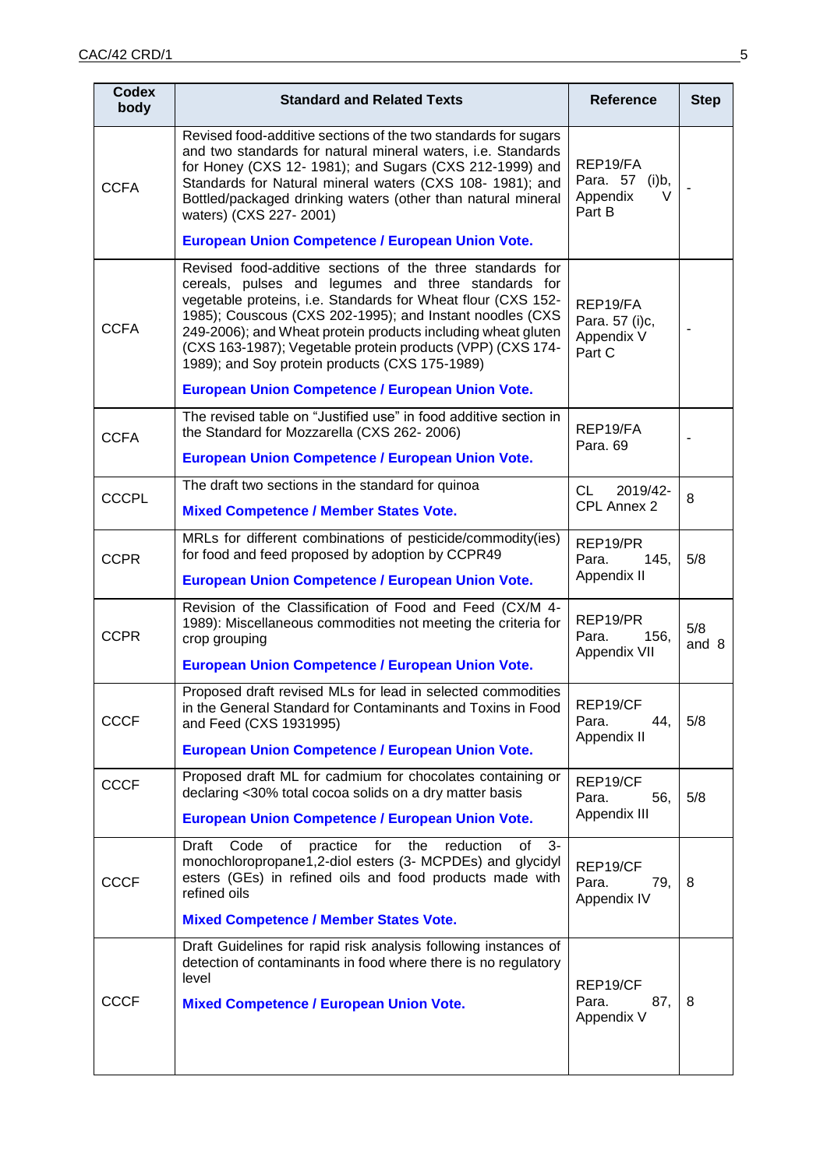| <b>Codex</b><br>body | <b>Standard and Related Texts</b>                                                                                                                                                                                                                                                                                                                                                                                                                                                       | <b>Reference</b>                                      | <b>Step</b>  |
|----------------------|-----------------------------------------------------------------------------------------------------------------------------------------------------------------------------------------------------------------------------------------------------------------------------------------------------------------------------------------------------------------------------------------------------------------------------------------------------------------------------------------|-------------------------------------------------------|--------------|
| <b>CCFA</b>          | Revised food-additive sections of the two standards for sugars<br>and two standards for natural mineral waters, i.e. Standards<br>for Honey (CXS 12- 1981); and Sugars (CXS 212-1999) and<br>Standards for Natural mineral waters (CXS 108- 1981); and<br>Bottled/packaged drinking waters (other than natural mineral<br>waters) (CXS 227-2001)                                                                                                                                        | REP19/FA<br>Para. 57 (i)b,<br>V<br>Appendix<br>Part B |              |
|                      | European Union Competence / European Union Vote.                                                                                                                                                                                                                                                                                                                                                                                                                                        |                                                       |              |
| <b>CCFA</b>          | Revised food-additive sections of the three standards for<br>cereals, pulses and legumes and three standards for<br>vegetable proteins, i.e. Standards for Wheat flour (CXS 152-<br>1985); Couscous (CXS 202-1995); and Instant noodles (CXS<br>249-2006); and Wheat protein products including wheat gluten<br>(CXS 163-1987); Vegetable protein products (VPP) (CXS 174-<br>1989); and Soy protein products (CXS 175-1989)<br><b>European Union Competence / European Union Vote.</b> | REP19/FA<br>Para. 57 (i)c,<br>Appendix V<br>Part C    |              |
|                      | The revised table on "Justified use" in food additive section in                                                                                                                                                                                                                                                                                                                                                                                                                        |                                                       |              |
| <b>CCFA</b>          | the Standard for Mozzarella (CXS 262-2006)<br><b>European Union Competence / European Union Vote.</b>                                                                                                                                                                                                                                                                                                                                                                                   | REP19/FA<br>Para. 69                                  |              |
|                      | The draft two sections in the standard for quinoa                                                                                                                                                                                                                                                                                                                                                                                                                                       | 2019/42-<br>CL                                        |              |
| <b>CCCPL</b>         | <b>Mixed Competence / Member States Vote.</b>                                                                                                                                                                                                                                                                                                                                                                                                                                           | CPL Annex 2                                           | 8            |
| <b>CCPR</b>          | MRLs for different combinations of pesticide/commodity(ies)<br>for food and feed proposed by adoption by CCPR49<br><b>European Union Competence / European Union Vote.</b>                                                                                                                                                                                                                                                                                                              | REP19/PR<br>145,<br>Para.<br>Appendix II              | 5/8          |
| <b>CCPR</b>          | Revision of the Classification of Food and Feed (CX/M 4-<br>1989): Miscellaneous commodities not meeting the criteria for<br>crop grouping<br><b>European Union Competence / European Union Vote.</b>                                                                                                                                                                                                                                                                                   | REP19/PR<br>Para.<br>156,<br>Appendix VII             | 5/8<br>and 8 |
| <b>CCCF</b>          | Proposed draft revised MLs for lead in selected commodities<br>in the General Standard for Contaminants and Toxins in Food<br>and Feed (CXS 1931995)<br><b>European Union Competence / European Union Vote.</b>                                                                                                                                                                                                                                                                         | REP19/CF<br>Para.<br>44,<br>Appendix II               | 5/8          |
| <b>CCCF</b>          | Proposed draft ML for cadmium for chocolates containing or<br>declaring <30% total cocoa solids on a dry matter basis                                                                                                                                                                                                                                                                                                                                                                   | REP19/CF<br>Para.<br>56,                              | 5/8          |
|                      | <b>European Union Competence / European Union Vote.</b>                                                                                                                                                                                                                                                                                                                                                                                                                                 | Appendix III                                          |              |
| <b>CCCF</b>          | Code<br>of<br>practice<br>for<br>reduction<br>of<br>Draft<br>the<br>3-<br>monochloropropane1,2-diol esters (3- MCPDEs) and glycidyl<br>esters (GEs) in refined oils and food products made with<br>refined oils                                                                                                                                                                                                                                                                         | REP19/CF<br>Para.<br>79,<br>Appendix IV               | 8            |
|                      | <b>Mixed Competence / Member States Vote.</b>                                                                                                                                                                                                                                                                                                                                                                                                                                           |                                                       |              |
| <b>CCCF</b>          | Draft Guidelines for rapid risk analysis following instances of<br>detection of contaminants in food where there is no regulatory<br>level<br><b>Mixed Competence / European Union Vote.</b>                                                                                                                                                                                                                                                                                            | REP19/CF<br>Para.<br>87,<br>Appendix V                | 8            |
|                      |                                                                                                                                                                                                                                                                                                                                                                                                                                                                                         |                                                       |              |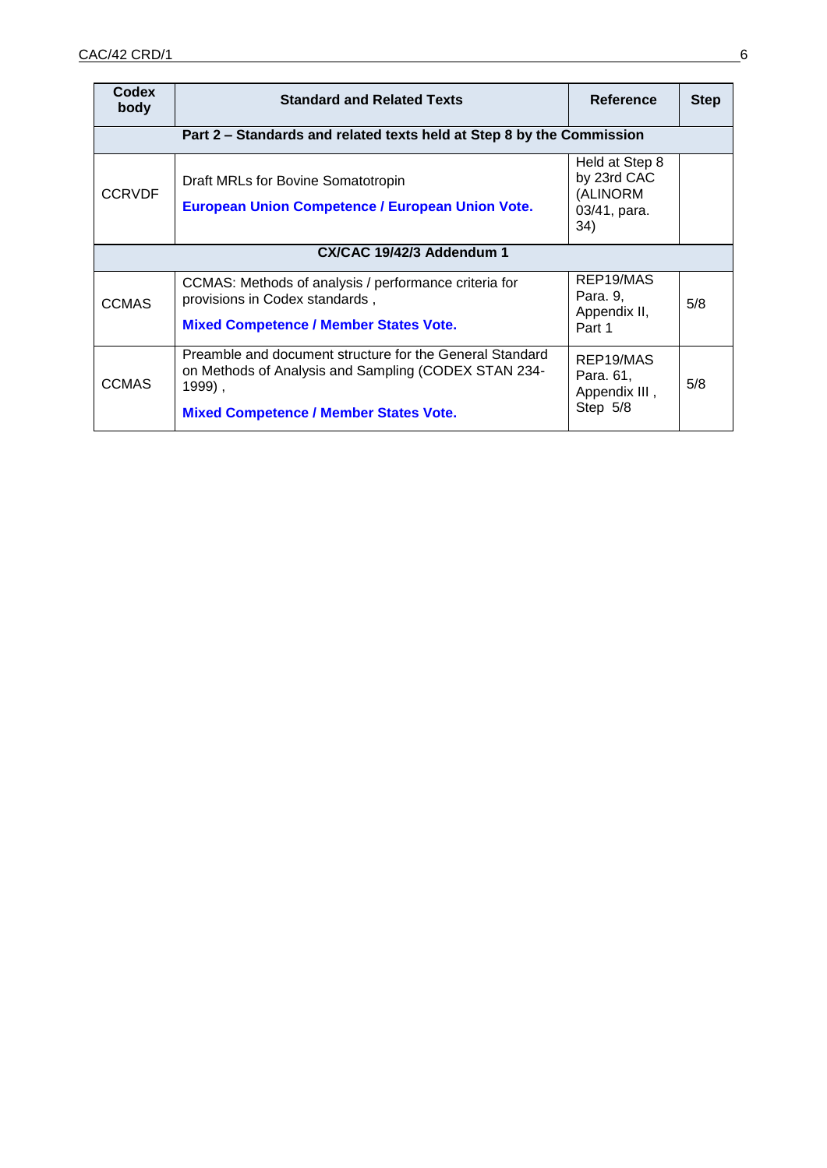| <b>Codex</b><br>body      | <b>Standard and Related Texts</b>                                                                                                                                           | Reference                                                        | <b>Step</b> |
|---------------------------|-----------------------------------------------------------------------------------------------------------------------------------------------------------------------------|------------------------------------------------------------------|-------------|
|                           | Part 2 – Standards and related texts held at Step 8 by the Commission                                                                                                       |                                                                  |             |
| <b>CCRVDF</b>             | Draft MRLs for Bovine Somatotropin<br><b>European Union Competence / European Union Vote.</b>                                                                               | Held at Step 8<br>by 23rd CAC<br>(ALINORM<br>03/41, para.<br>34) |             |
| CX/CAC 19/42/3 Addendum 1 |                                                                                                                                                                             |                                                                  |             |
| <b>CCMAS</b>              | CCMAS: Methods of analysis / performance criteria for<br>provisions in Codex standards,<br><b>Mixed Competence / Member States Vote.</b>                                    | REP19/MAS<br>Para. 9,<br>Appendix II,<br>Part 1                  | 5/8         |
| <b>CCMAS</b>              | Preamble and document structure for the General Standard<br>on Methods of Analysis and Sampling (CODEX STAN 234-<br>1999),<br><b>Mixed Competence / Member States Vote.</b> | REP19/MAS<br>Para. 61,<br>Appendix III,<br>Step 5/8              | 5/8         |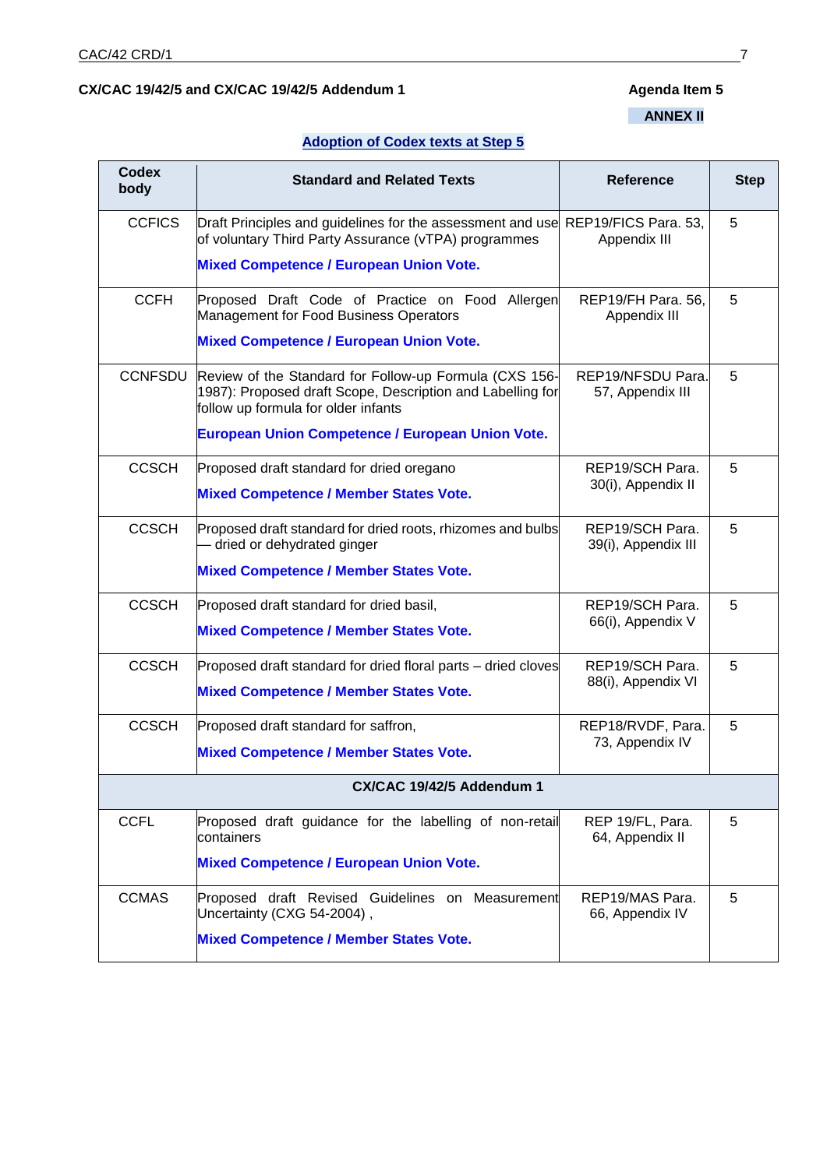## CX/CAC 19/42/5 and CX/CAC 19/42/5 Addendum 1 **Agenda Item 5**

## **ANNEX II**

## **Adoption of Codex texts at Step 5**

| <b>Codex</b><br>body | <b>Standard and Related Texts</b>                                                                                                                                                                                      | <b>Reference</b>                       | <b>Step</b> |
|----------------------|------------------------------------------------------------------------------------------------------------------------------------------------------------------------------------------------------------------------|----------------------------------------|-------------|
| <b>CCFICS</b>        | Draft Principles and guidelines for the assessment and use REP19/FICS Para. 53,<br>of voluntary Third Party Assurance (vTPA) programmes<br><b>Mixed Competence / European Union Vote.</b>                              | Appendix III                           | 5           |
| <b>CCFH</b>          | Proposed Draft Code of Practice on Food Allergen<br>Management for Food Business Operators<br><b>Mixed Competence / European Union Vote.</b>                                                                           | REP19/FH Para. 56,<br>Appendix III     | 5           |
| <b>CCNFSDU</b>       | Review of the Standard for Follow-up Formula (CXS 156-<br>1987): Proposed draft Scope, Description and Labelling for<br>follow up formula for older infants<br><b>European Union Competence / European Union Vote.</b> | REP19/NFSDU Para.<br>57, Appendix III  | 5           |
| <b>CCSCH</b>         | Proposed draft standard for dried oregano<br><b>Mixed Competence / Member States Vote.</b>                                                                                                                             | REP19/SCH Para.<br>30(i), Appendix II  | 5           |
| <b>CCSCH</b>         | Proposed draft standard for dried roots, rhizomes and bulbs<br>- dried or dehydrated ginger<br><b>Mixed Competence / Member States Vote.</b>                                                                           | REP19/SCH Para.<br>39(i), Appendix III | 5           |
| <b>CCSCH</b>         | Proposed draft standard for dried basil,<br><b>Mixed Competence / Member States Vote.</b>                                                                                                                              | REP19/SCH Para.<br>66(i), Appendix V   | 5           |
| <b>CCSCH</b>         | Proposed draft standard for dried floral parts – dried cloves<br><b>Mixed Competence / Member States Vote.</b>                                                                                                         | REP19/SCH Para.<br>88(i), Appendix VI  | 5           |
| <b>CCSCH</b>         | Proposed draft standard for saffron,<br><b>Mixed Competence / Member States Vote.</b>                                                                                                                                  | REP18/RVDF, Para.<br>73, Appendix IV   | 5           |
|                      | CX/CAC 19/42/5 Addendum 1                                                                                                                                                                                              |                                        |             |
| <b>CCFL</b>          | Proposed draft guidance for the labelling of non-retail<br>lcontainers<br><b>Mixed Competence / European Union Vote.</b>                                                                                               | REP 19/FL, Para.<br>64, Appendix II    | 5           |
| <b>CCMAS</b>         | Proposed draft Revised Guidelines on Measurement<br>Uncertainty (CXG 54-2004),<br><b>Mixed Competence / Member States Vote.</b>                                                                                        | REP19/MAS Para.<br>66, Appendix IV     | 5           |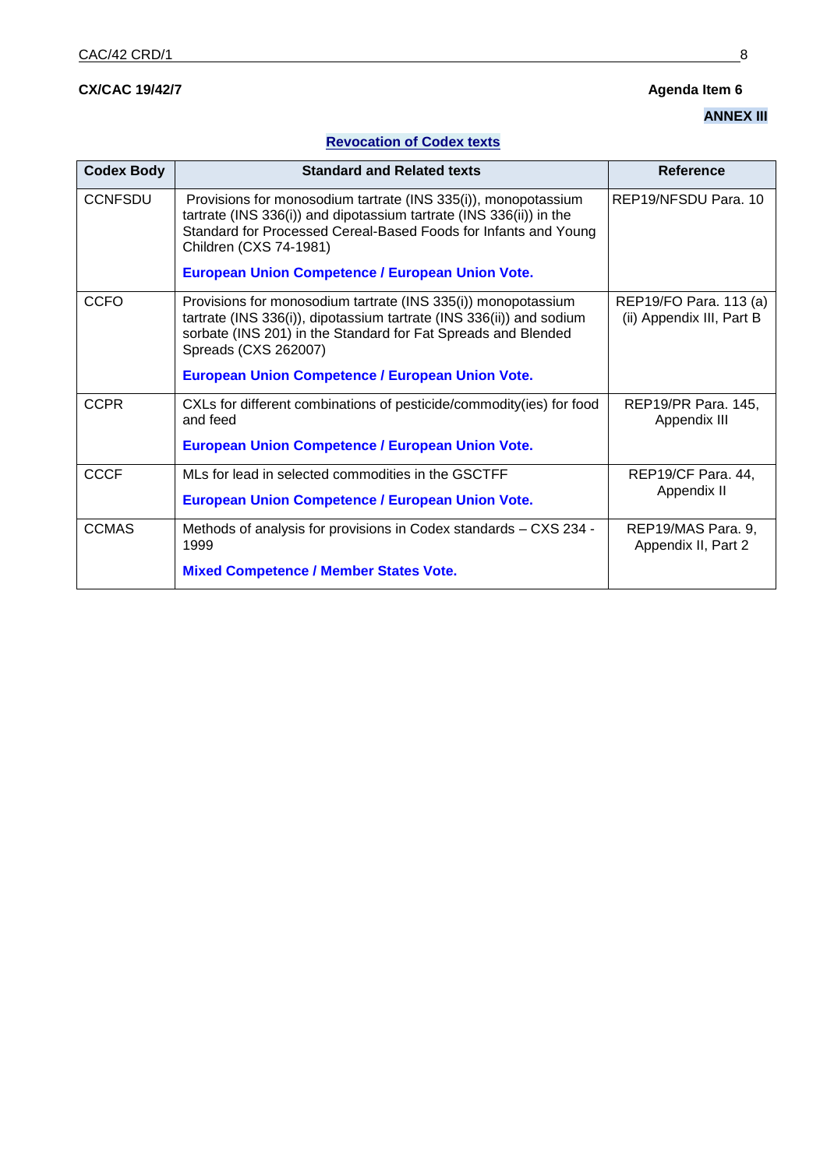# **CX/CAC 19/42/7 Agenda Item 6**

# **ANNEX III**

# **Revocation of Codex texts**

| <b>Codex Body</b> | <b>Standard and Related texts</b>                                                                                                                                                                                                                                                      | Reference                                           |
|-------------------|----------------------------------------------------------------------------------------------------------------------------------------------------------------------------------------------------------------------------------------------------------------------------------------|-----------------------------------------------------|
| <b>CCNFSDU</b>    | Provisions for monosodium tartrate (INS 335(i)), monopotassium<br>tartrate (INS 336(i)) and dipotassium tartrate (INS 336(ii)) in the<br>Standard for Processed Cereal-Based Foods for Infants and Young<br>Children (CXS 74-1981)<br>European Union Competence / European Union Vote. | REP19/NFSDU Para, 10                                |
|                   |                                                                                                                                                                                                                                                                                        |                                                     |
| <b>CCFO</b>       | Provisions for monosodium tartrate (INS 335(i)) monopotassium<br>tartrate (INS 336(i)), dipotassium tartrate (INS 336(ii)) and sodium<br>sorbate (INS 201) in the Standard for Fat Spreads and Blended<br>Spreads (CXS 262007)                                                         | REP19/FO Para. 113 (a)<br>(ii) Appendix III, Part B |
|                   | <b>European Union Competence / European Union Vote.</b>                                                                                                                                                                                                                                |                                                     |
| <b>CCPR</b>       | CXLs for different combinations of pesticide/commodity(ies) for food<br>and feed                                                                                                                                                                                                       | REP19/PR Para. 145,<br>Appendix III                 |
|                   | <b>European Union Competence / European Union Vote.</b>                                                                                                                                                                                                                                |                                                     |
| <b>CCCF</b>       | MLs for lead in selected commodities in the GSCTFF                                                                                                                                                                                                                                     | REP19/CF Para. 44,                                  |
|                   | European Union Competence / European Union Vote.                                                                                                                                                                                                                                       | Appendix II                                         |
| <b>CCMAS</b>      | Methods of analysis for provisions in Codex standards - CXS 234 -<br>1999                                                                                                                                                                                                              | REP19/MAS Para. 9,<br>Appendix II, Part 2           |
|                   | <b>Mixed Competence / Member States Vote.</b>                                                                                                                                                                                                                                          |                                                     |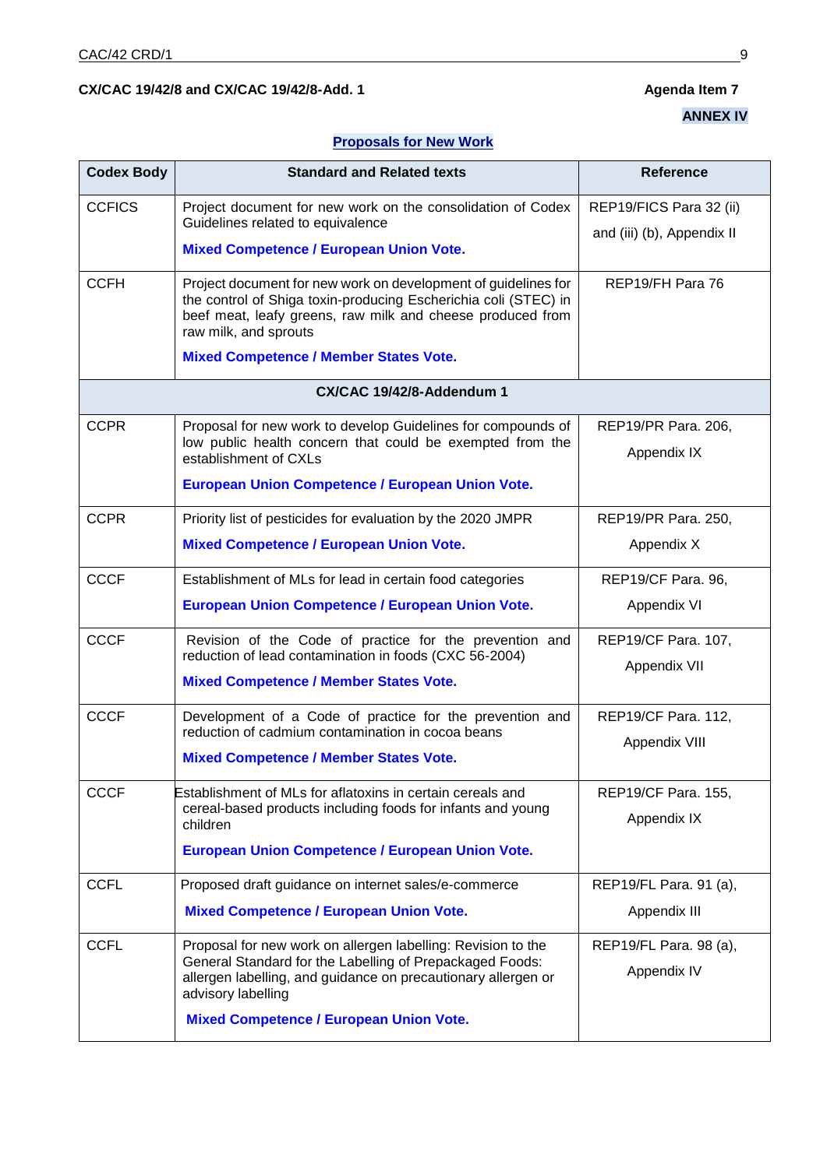## CX/CAC 19/42/8 and CX/CAC 19/42/8-Add. 1 **Agenda Item 7** Agenda Item 7

# **ANNEX IV**

## **Proposals for New Work**

| <b>Codex Body</b> | <b>Standard and Related texts</b>                                                                                                                                                                                        | <b>Reference</b>           |
|-------------------|--------------------------------------------------------------------------------------------------------------------------------------------------------------------------------------------------------------------------|----------------------------|
| <b>CCFICS</b>     | Project document for new work on the consolidation of Codex<br>Guidelines related to equivalence                                                                                                                         | REP19/FICS Para 32 (ii)    |
|                   | <b>Mixed Competence / European Union Vote.</b>                                                                                                                                                                           | and (iii) (b), Appendix II |
|                   |                                                                                                                                                                                                                          |                            |
| <b>CCFH</b>       | Project document for new work on development of guidelines for<br>the control of Shiga toxin-producing Escherichia coli (STEC) in<br>beef meat, leafy greens, raw milk and cheese produced from<br>raw milk, and sprouts | REP19/FH Para 76           |
|                   | <b>Mixed Competence / Member States Vote.</b>                                                                                                                                                                            |                            |
|                   | CX/CAC 19/42/8-Addendum 1                                                                                                                                                                                                |                            |
| <b>CCPR</b>       | Proposal for new work to develop Guidelines for compounds of                                                                                                                                                             | REP19/PR Para. 206,        |
|                   | low public health concern that could be exempted from the<br>establishment of CXLs                                                                                                                                       | Appendix IX                |
|                   | European Union Competence / European Union Vote.                                                                                                                                                                         |                            |
| <b>CCPR</b>       | Priority list of pesticides for evaluation by the 2020 JMPR                                                                                                                                                              | REP19/PR Para. 250,        |
|                   | <b>Mixed Competence / European Union Vote.</b>                                                                                                                                                                           | Appendix X                 |
| <b>CCCF</b>       | Establishment of MLs for lead in certain food categories                                                                                                                                                                 | REP19/CF Para. 96,         |
|                   | European Union Competence / European Union Vote.                                                                                                                                                                         | Appendix VI                |
| <b>CCCF</b>       | Revision of the Code of practice for the prevention and<br>reduction of lead contamination in foods (CXC 56-2004)                                                                                                        | REP19/CF Para. 107,        |
|                   | <b>Mixed Competence / Member States Vote.</b>                                                                                                                                                                            | Appendix VII               |
| <b>CCCF</b>       | Development of a Code of practice for the prevention and<br>reduction of cadmium contamination in cocoa beans                                                                                                            | REP19/CF Para. 112,        |
|                   | <b>Mixed Competence / Member States Vote.</b>                                                                                                                                                                            | Appendix VIII              |
| <b>CCCF</b>       | Establishment of MLs for aflatoxins in certain cereals and                                                                                                                                                               | REP19/CF Para. 155,        |
|                   | cereal-based products including foods for infants and young<br>children                                                                                                                                                  | Appendix IX                |
|                   | European Union Competence / European Union Vote.                                                                                                                                                                         |                            |
| <b>CCFL</b>       | Proposed draft guidance on internet sales/e-commerce                                                                                                                                                                     | REP19/FL Para. 91 (a),     |
|                   | <b>Mixed Competence / European Union Vote.</b>                                                                                                                                                                           | Appendix III               |
| <b>CCFL</b>       | Proposal for new work on allergen labelling: Revision to the                                                                                                                                                             | REP19/FL Para. 98 (a),     |
|                   | General Standard for the Labelling of Prepackaged Foods:<br>allergen labelling, and guidance on precautionary allergen or<br>advisory labelling                                                                          | Appendix IV                |
|                   | <b>Mixed Competence / European Union Vote.</b>                                                                                                                                                                           |                            |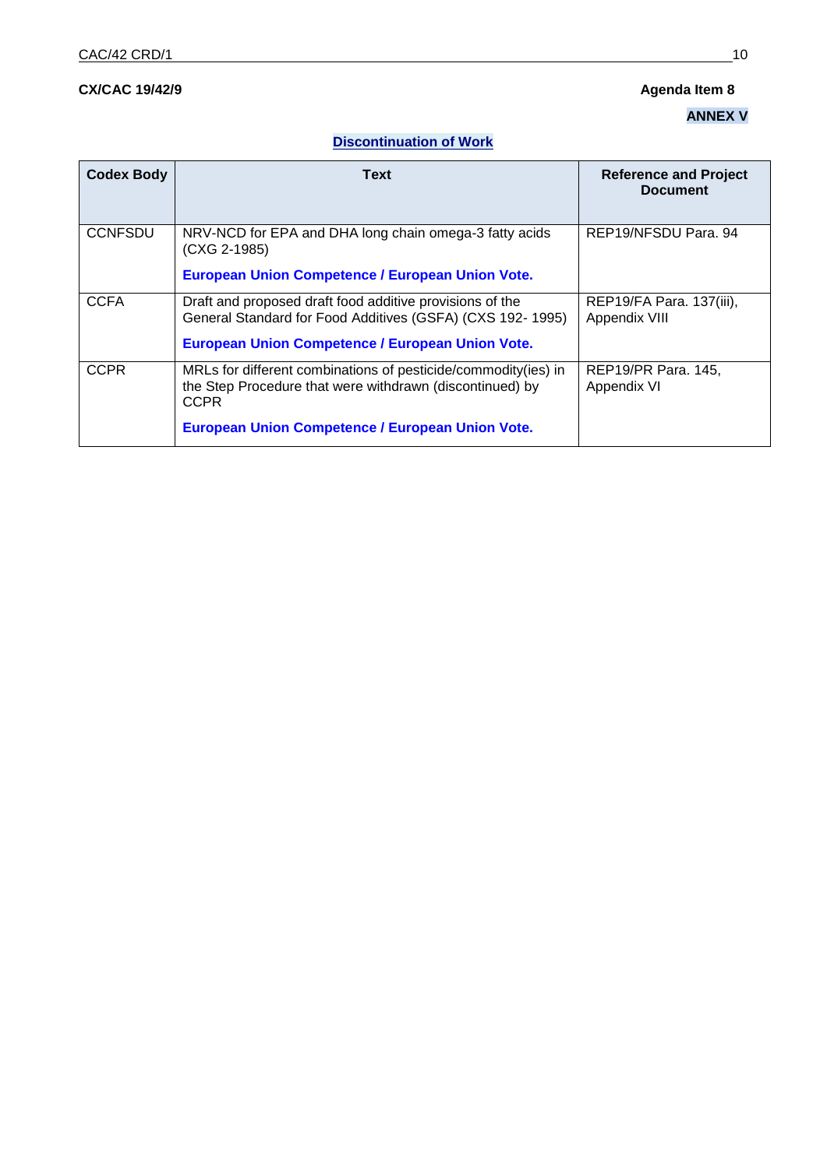# **CX/CAC 19/42/9 Agenda Item 8**

# **ANNEX V**

# **Discontinuation of Work**

| <b>Codex Body</b> | Text                                                                                                                                                                                          | <b>Reference and Project</b><br><b>Document</b> |
|-------------------|-----------------------------------------------------------------------------------------------------------------------------------------------------------------------------------------------|-------------------------------------------------|
| <b>CCNFSDU</b>    | NRV-NCD for EPA and DHA long chain omega-3 fatty acids<br>(CXG 2-1985)<br>European Union Competence / European Union Vote.                                                                    | REP19/NFSDU Para, 94                            |
| <b>CCFA</b>       | Draft and proposed draft food additive provisions of the<br>General Standard for Food Additives (GSFA) (CXS 192-1995)<br>European Union Competence / European Union Vote.                     | REP19/FA Para. 137(iii),<br>Appendix VIII       |
| <b>CCPR</b>       | MRLs for different combinations of pesticide/commodity(ies) in<br>the Step Procedure that were withdrawn (discontinued) by<br><b>CCPR</b><br>European Union Competence / European Union Vote. | REP19/PR Para. 145,<br>Appendix VI              |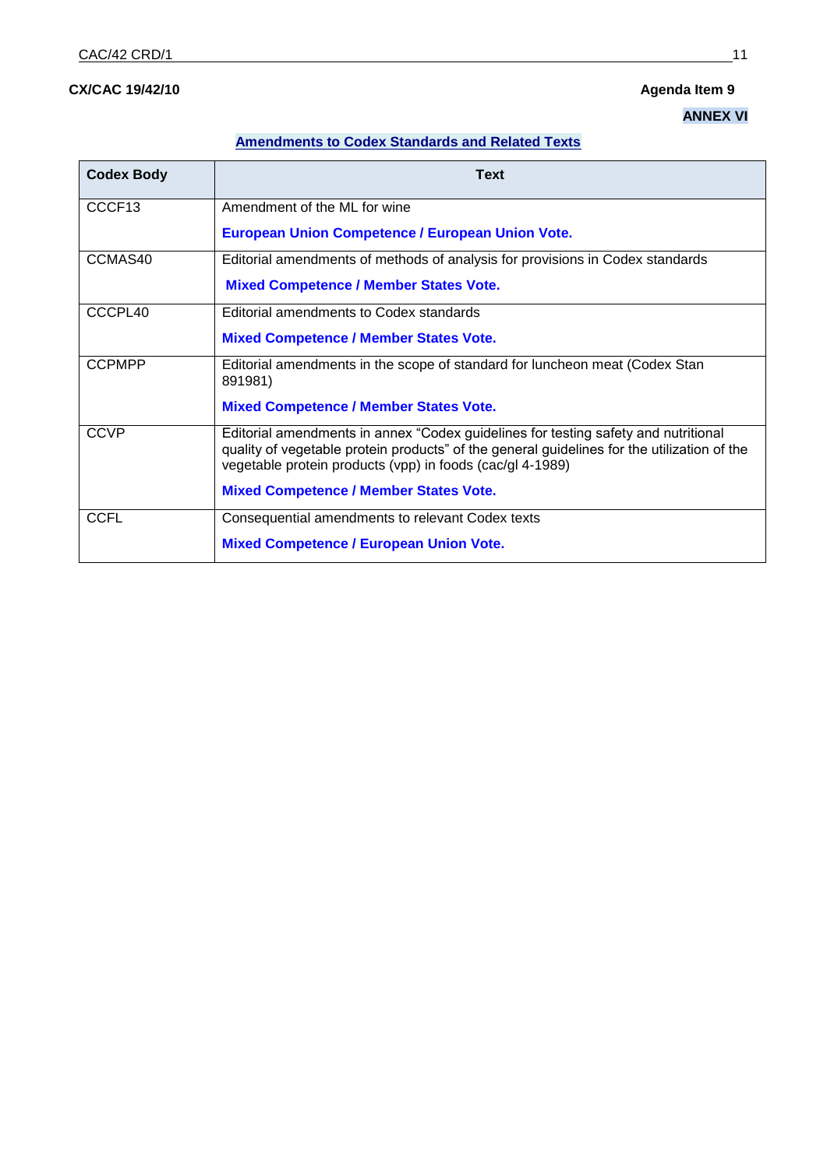# **CX/CAC 19/42/10 Agenda Item 9**

# **ANNEX VI**

## **Amendments to Codex Standards and Related Texts**

| <b>Codex Body</b>  | <b>Text</b>                                                                                                                                                                                                                                    |
|--------------------|------------------------------------------------------------------------------------------------------------------------------------------------------------------------------------------------------------------------------------------------|
| CCCF <sub>13</sub> | Amendment of the ML for wine                                                                                                                                                                                                                   |
|                    | <b>European Union Competence / European Union Vote.</b>                                                                                                                                                                                        |
| CCMAS40            | Editorial amendments of methods of analysis for provisions in Codex standards                                                                                                                                                                  |
|                    | <b>Mixed Competence / Member States Vote.</b>                                                                                                                                                                                                  |
| CCCPL40            | Editorial amendments to Codex standards                                                                                                                                                                                                        |
|                    | <b>Mixed Competence / Member States Vote.</b>                                                                                                                                                                                                  |
| <b>CCPMPP</b>      | Editorial amendments in the scope of standard for luncheon meat (Codex Stan<br>891981)                                                                                                                                                         |
|                    | <b>Mixed Competence / Member States Vote.</b>                                                                                                                                                                                                  |
| <b>CCVP</b>        | Editorial amendments in annex "Codex guidelines for testing safety and nutritional<br>quality of vegetable protein products" of the general guidelines for the utilization of the<br>vegetable protein products (vpp) in foods (cac/gl 4-1989) |
|                    | <b>Mixed Competence / Member States Vote.</b>                                                                                                                                                                                                  |
| <b>CCFL</b>        | Consequential amendments to relevant Codex texts                                                                                                                                                                                               |
|                    | <b>Mixed Competence / European Union Vote.</b>                                                                                                                                                                                                 |